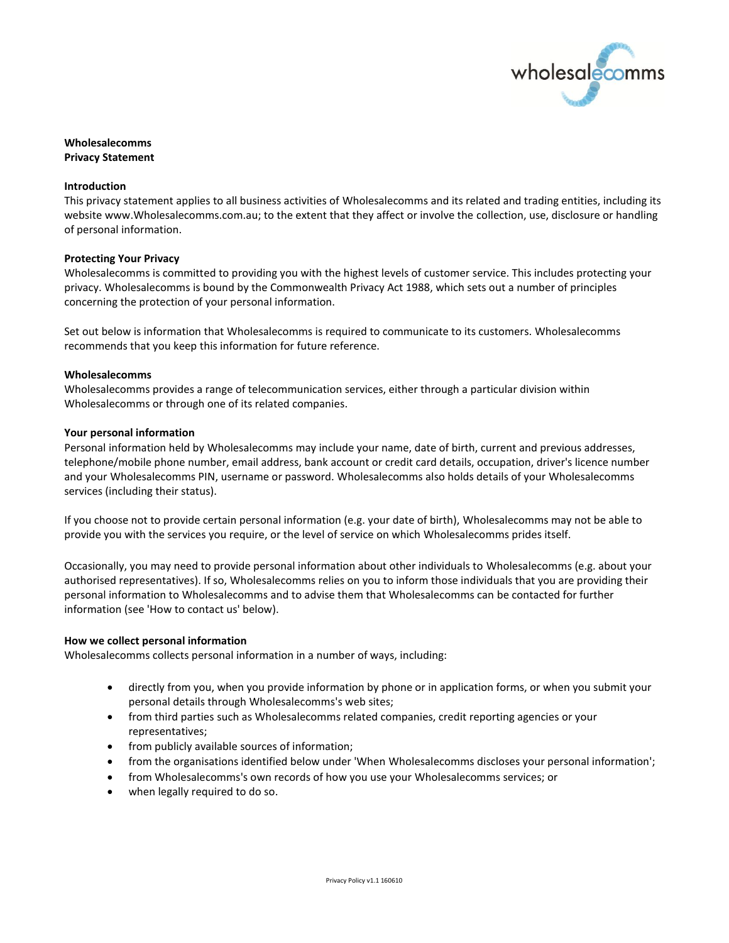

# **Wholesalecomms Privacy Statement**

### **Introduction**

This privacy statement applies to all business activities of Wholesalecomms and its related and trading entities, including its website www.Wholesalecomms.com.au; to the extent that they affect or involve the collection, use, disclosure or handling of personal information.

### **Protecting Your Privacy**

Wholesalecomms is committed to providing you with the highest levels of customer service. This includes protecting your privacy. Wholesalecomms is bound by the Commonwealth Privacy Act 1988, which sets out a number of principles concerning the protection of your personal information.

Set out below is information that Wholesalecomms is required to communicate to its customers. Wholesalecomms recommends that you keep this information for future reference.

### **Wholesalecomms**

Wholesalecomms provides a range of telecommunication services, either through a particular division within Wholesalecomms or through one of its related companies.

### **Your personal information**

Personal information held by Wholesalecomms may include your name, date of birth, current and previous addresses, telephone/mobile phone number, email address, bank account or credit card details, occupation, driver's licence number and your Wholesalecomms PIN, username or password. Wholesalecomms also holds details of your Wholesalecomms services (including their status).

If you choose not to provide certain personal information (e.g. your date of birth), Wholesalecomms may not be able to provide you with the services you require, or the level of service on which Wholesalecomms prides itself.

Occasionally, you may need to provide personal information about other individuals to Wholesalecomms (e.g. about your authorised representatives). If so, Wholesalecomms relies on you to inform those individuals that you are providing their personal information to Wholesalecomms and to advise them that Wholesalecomms can be contacted for further information (see 'How to contact us' below).

# **How we collect personal information**

Wholesalecomms collects personal information in a number of ways, including:

- directly from you, when you provide information by phone or in application forms, or when you submit your personal details through Wholesalecomms's web sites;
- from third parties such as Wholesalecomms related companies, credit reporting agencies or your representatives;
- from publicly available sources of information;
- from the organisations identified below under 'When Wholesalecomms discloses your personal information';
- from Wholesalecomms's own records of how you use your Wholesalecomms services; or
- when legally required to do so.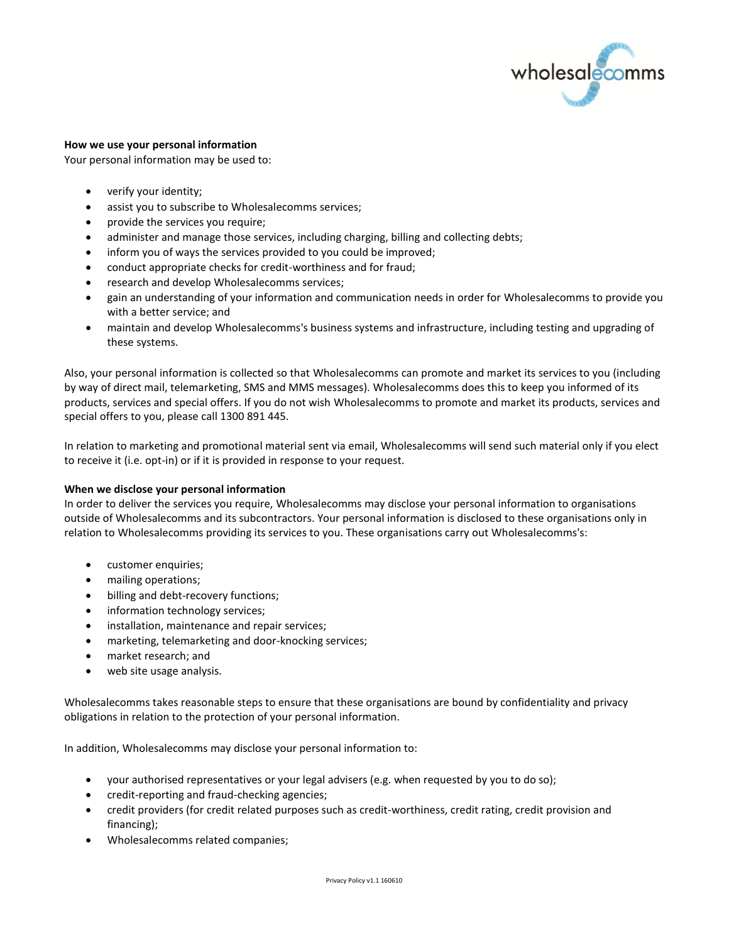

# **How we use your personal information**

Your personal information may be used to:

- verify your identity;
- assist you to subscribe to Wholesalecomms services;
- provide the services you require;
- administer and manage those services, including charging, billing and collecting debts;
- inform you of ways the services provided to you could be improved;
- conduct appropriate checks for credit-worthiness and for fraud;
- research and develop Wholesalecomms services;
- gain an understanding of your information and communication needs in order for Wholesalecomms to provide you with a better service; and
- maintain and develop Wholesalecomms's business systems and infrastructure, including testing and upgrading of these systems.

Also, your personal information is collected so that Wholesalecomms can promote and market its services to you (including by way of direct mail, telemarketing, SMS and MMS messages). Wholesalecomms does this to keep you informed of its products, services and special offers. If you do not wish Wholesalecomms to promote and market its products, services and special offers to you, please call 1300 891 445.

In relation to marketing and promotional material sent via email, Wholesalecomms will send such material only if you elect to receive it (i.e. opt-in) or if it is provided in response to your request.

# **When we disclose your personal information**

In order to deliver the services you require, Wholesalecomms may disclose your personal information to organisations outside of Wholesalecomms and its subcontractors. Your personal information is disclosed to these organisations only in relation to Wholesalecomms providing its services to you. These organisations carry out Wholesalecomms's:

- customer enquiries;
- mailing operations;
- billing and debt-recovery functions;
- information technology services;
- installation, maintenance and repair services;
- marketing, telemarketing and door-knocking services;
- market research; and
- web site usage analysis.

Wholesalecomms takes reasonable steps to ensure that these organisations are bound by confidentiality and privacy obligations in relation to the protection of your personal information.

In addition, Wholesalecomms may disclose your personal information to:

- your authorised representatives or your legal advisers (e.g. when requested by you to do so);
- credit-reporting and fraud-checking agencies;
- credit providers (for credit related purposes such as credit-worthiness, credit rating, credit provision and financing);
- Wholesalecomms related companies;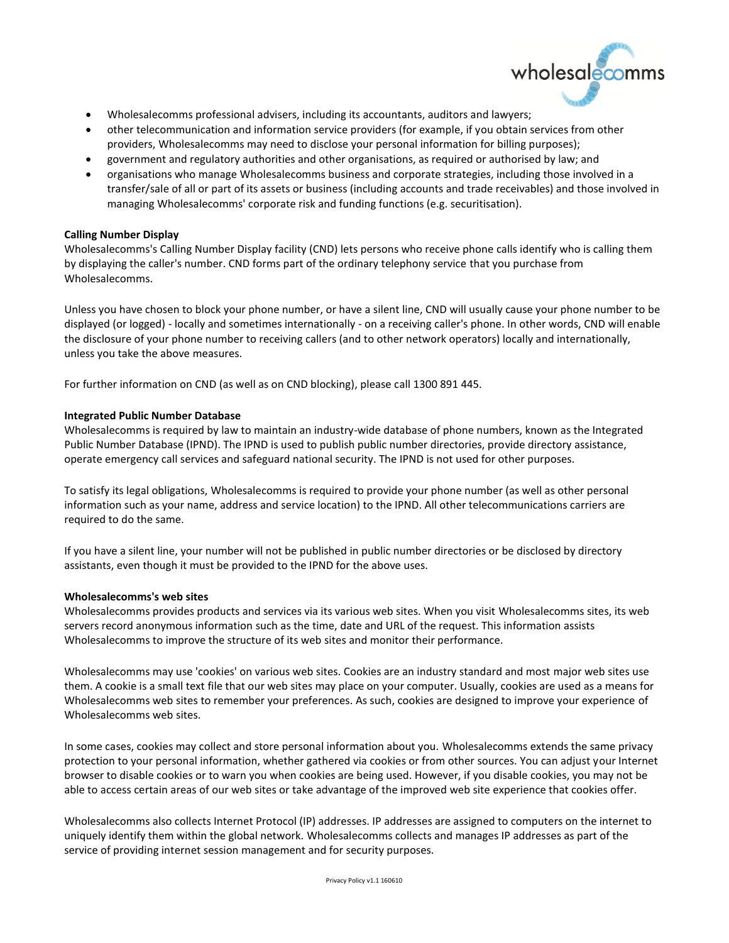

- Wholesalecomms professional advisers, including its accountants, auditors and lawyers;
- other telecommunication and information service providers (for example, if you obtain services from other providers, Wholesalecomms may need to disclose your personal information for billing purposes);
- government and regulatory authorities and other organisations, as required or authorised by law; and
- organisations who manage Wholesalecomms business and corporate strategies, including those involved in a transfer/sale of all or part of its assets or business (including accounts and trade receivables) and those involved in managing Wholesalecomms' corporate risk and funding functions (e.g. securitisation).

## **Calling Number Display**

Wholesalecomms's Calling Number Display facility (CND) lets persons who receive phone calls identify who is calling them by displaying the caller's number. CND forms part of the ordinary telephony service that you purchase from Wholesalecomms.

Unless you have chosen to block your phone number, or have a silent line, CND will usually cause your phone number to be displayed (or logged) - locally and sometimes internationally - on a receiving caller's phone. In other words, CND will enable the disclosure of your phone number to receiving callers (and to other network operators) locally and internationally, unless you take the above measures.

For further information on CND (as well as on CND blocking), please call 1300 891 445.

### **Integrated Public Number Database**

Wholesalecomms is required by law to maintain an industry-wide database of phone numbers, known as the Integrated Public Number Database (IPND). The IPND is used to publish public number directories, provide directory assistance, operate emergency call services and safeguard national security. The IPND is not used for other purposes.

To satisfy its legal obligations, Wholesalecomms is required to provide your phone number (as well as other personal information such as your name, address and service location) to the IPND. All other telecommunications carriers are required to do the same.

If you have a silent line, your number will not be published in public number directories or be disclosed by directory assistants, even though it must be provided to the IPND for the above uses.

#### **Wholesalecomms's web sites**

Wholesalecomms provides products and services via its various web sites. When you visit Wholesalecomms sites, its web servers record anonymous information such as the time, date and URL of the request. This information assists Wholesalecomms to improve the structure of its web sites and monitor their performance.

Wholesalecomms may use 'cookies' on various web sites. Cookies are an industry standard and most major web sites use them. A cookie is a small text file that our web sites may place on your computer. Usually, cookies are used as a means for Wholesalecomms web sites to remember your preferences. As such, cookies are designed to improve your experience of Wholesalecomms web sites.

In some cases, cookies may collect and store personal information about you. Wholesalecomms extends the same privacy protection to your personal information, whether gathered via cookies or from other sources. You can adjust your Internet browser to disable cookies or to warn you when cookies are being used. However, if you disable cookies, you may not be able to access certain areas of our web sites or take advantage of the improved web site experience that cookies offer.

Wholesalecomms also collects Internet Protocol (IP) addresses. IP addresses are assigned to computers on the internet to uniquely identify them within the global network. Wholesalecomms collects and manages IP addresses as part of the service of providing internet session management and for security purposes.